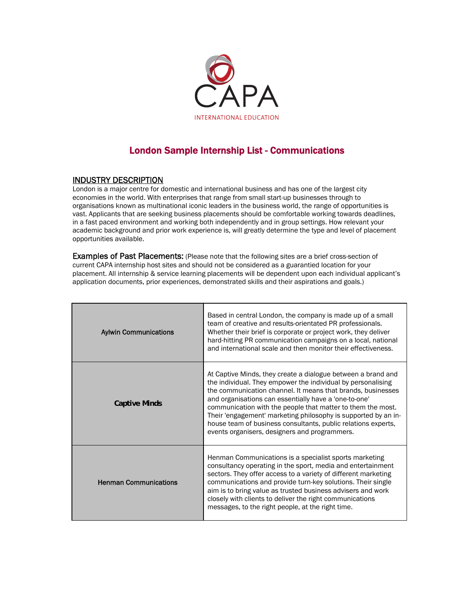

## London Sample Internship List - Communications

## INDUSTRY DESCRIPTION

London is a major centre for domestic and international business and has one of the largest city economies in the world. With enterprises that range from small start-up businesses through to organisations known as multinational iconic leaders in the business world, the range of opportunities is vast. Applicants that are seeking business placements should be comfortable working towards deadlines, in a fast paced environment and working both independently and in group settings. How relevant your academic background and prior work experience is, will greatly determine the type and level of placement opportunities available.

Examples of Past Placements: (Please note that the following sites are a brief cross-section of current CAPA internship host sites and should not be considered as a guarantied location for your placement. All internship & service learning placements will be dependent upon each individual applicant's application documents, prior experiences, demonstrated skills and their aspirations and goals.)

| <b>Aylwin Communications</b> | Based in central London, the company is made up of a small<br>team of creative and results-orientated PR professionals.<br>Whether their brief is corporate or project work, they deliver<br>hard-hitting PR communication campaigns on a local, national<br>and international scale and then monitor their effectiveness.                                                                                                                                                                              |
|------------------------------|---------------------------------------------------------------------------------------------------------------------------------------------------------------------------------------------------------------------------------------------------------------------------------------------------------------------------------------------------------------------------------------------------------------------------------------------------------------------------------------------------------|
| Captive Minds                | At Captive Minds, they create a dialogue between a brand and<br>the individual. They empower the individual by personalising<br>the communication channel. It means that brands, businesses<br>and organisations can essentially have a 'one-to-one'<br>communication with the people that matter to them the most.<br>Their 'engagement' marketing philosophy is supported by an in-<br>house team of business consultants, public relations experts,<br>events organisers, designers and programmers. |
| <b>Henman Communications</b> | Henman Communications is a specialist sports marketing<br>consultancy operating in the sport, media and entertainment<br>sectors. They offer access to a variety of different marketing<br>communications and provide turn-key solutions. Their single<br>aim is to bring value as trusted business advisers and work<br>closely with clients to deliver the right communications<br>messages, to the right people, at the right time.                                                                  |